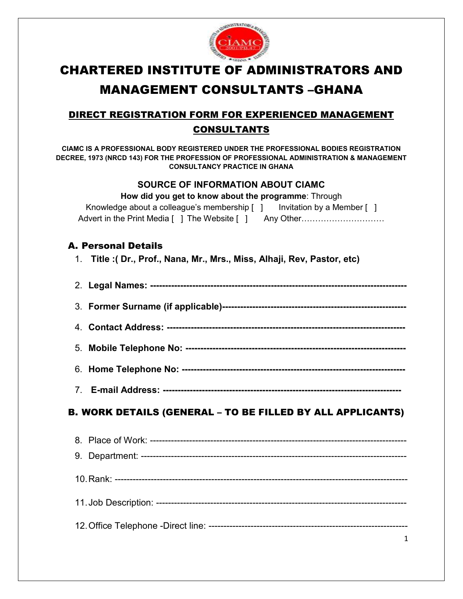

# CHARTERED INSTITUTE OF ADMINISTRATORS AND MANAGEMENT CONSULTANTS –GHANA

## DIRECT REGISTRATION FORM FOR EXPERIENCED MANAGEMENT CONSULTANTS

**CIAMC IS A PROFESSIONAL BODY REGISTERED UNDER THE PROFESSIONAL BODIES REGISTRATION DECREE, 1973 (NRCD 143) FOR THE PROFESSION OF PROFESSIONAL ADMINISTRATION & MANAGEMENT CONSULTANCY PRACTICE IN GHANA** 

### **SOURCE OF INFORMATION ABOUT CIAMC**

| How did you get to know about the programme: Through                                                                                          |  |
|-----------------------------------------------------------------------------------------------------------------------------------------------|--|
| Knowledge about a colleague's membership $\begin{bmatrix} 1 \\ 1 \end{bmatrix}$ Invitation by a Member $\begin{bmatrix} 1 \\ 1 \end{bmatrix}$ |  |
| Advert in the Print Media [ ] The Website [ ] Any Other                                                                                       |  |

### A. Personal Details

1. **Title :( Dr., Prof., Nana, Mr., Mrs., Miss, Alhaji, Rev, Pastor, etc)**

5. **Mobile Telephone No: -------------------------------------------------------------------------** 

- 6. **Home Telephone No: --------------------------------------------------------------------------**
- 7. **E-mail Address: -------------------------------------------------------------------------------**

## B. WORK DETAILS (GENERAL – TO BE FILLED BY ALL APPLICANTS)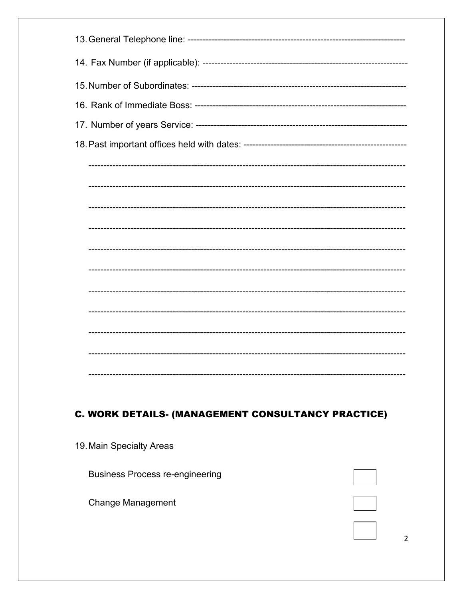# C. WORK DETAILS- (MANAGEMENT CONSULTANCY PRACTICE)

19. Main Specialty Areas **Business Process re-engineering Change Management** 

 $\overline{2}$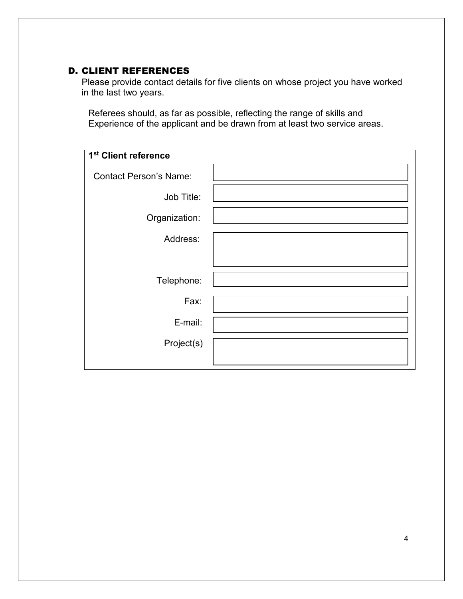### D. CLIENT REFERENCES

Please provide contact details for five clients on whose project you have worked in the last two years.

Referees should, as far as possible, reflecting the range of skills and Experience of the applicant and be drawn from at least two service areas.

| 1 <sup>st</sup> Client reference |  |
|----------------------------------|--|
| <b>Contact Person's Name:</b>    |  |
| Job Title:                       |  |
| Organization:                    |  |
| Address:                         |  |
|                                  |  |
| Telephone:                       |  |
| Fax:                             |  |
| E-mail:                          |  |
| Project(s)                       |  |
|                                  |  |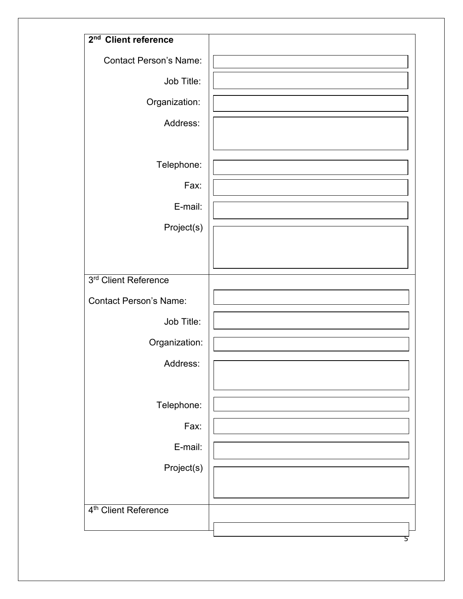| 2 <sup>nd</sup> Client reference |  |
|----------------------------------|--|
| <b>Contact Person's Name:</b>    |  |
| Job Title:                       |  |
| Organization:                    |  |
| Address:                         |  |
|                                  |  |
| Telephone:                       |  |
| Fax:                             |  |
| E-mail:                          |  |
| Project(s)                       |  |
|                                  |  |
|                                  |  |
| 3rd Client Reference             |  |
| <b>Contact Person's Name:</b>    |  |
| Job Title:                       |  |
| Organization:                    |  |
| Address:                         |  |
|                                  |  |
| Telephone:                       |  |
| Fax:                             |  |
| E-mail:                          |  |
| Project(s)                       |  |
|                                  |  |
| 4 <sup>th</sup> Client Reference |  |
|                                  |  |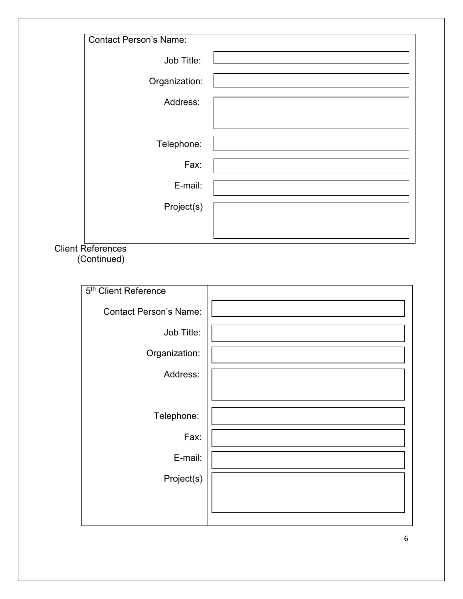| <b>Contact Person's Name:</b> |  |
|-------------------------------|--|
|                               |  |
| Job Title:                    |  |
|                               |  |
| Organization:                 |  |
|                               |  |
| Address:                      |  |
|                               |  |
|                               |  |
| Telephone:                    |  |
|                               |  |
| Fax:                          |  |
|                               |  |
| E-mail:                       |  |
|                               |  |
| Project(s)                    |  |
|                               |  |
|                               |  |
|                               |  |

# Client References

| 5 <sup>th</sup> Client Reference |  |
|----------------------------------|--|
| <b>Contact Person's Name:</b>    |  |
| Job Title:                       |  |
| Organization:                    |  |
| Address:                         |  |
|                                  |  |
| Telephone:                       |  |
| Fax:                             |  |
| E-mail:                          |  |
| Project(s)                       |  |
|                                  |  |
|                                  |  |

(Continued)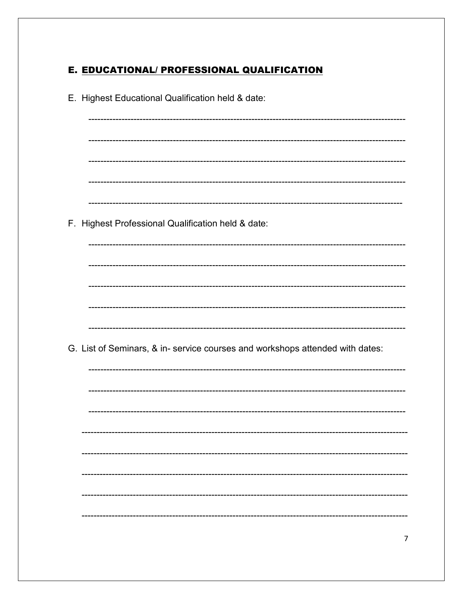### E. EDUCATIONAL/ PROFESSIONAL QUALIFICATION

| E. Highest Educational Qualification held & date:                             |
|-------------------------------------------------------------------------------|
|                                                                               |
|                                                                               |
|                                                                               |
|                                                                               |
|                                                                               |
| F. Highest Professional Qualification held & date:                            |
|                                                                               |
|                                                                               |
|                                                                               |
|                                                                               |
|                                                                               |
|                                                                               |
| G. List of Seminars, & in- service courses and workshops attended with dates: |
|                                                                               |
|                                                                               |
|                                                                               |
|                                                                               |
|                                                                               |
|                                                                               |
|                                                                               |
|                                                                               |
|                                                                               |
|                                                                               |
|                                                                               |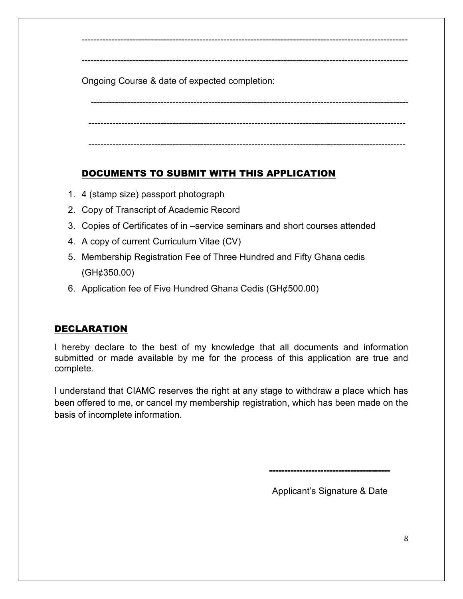Ongoing Course & date of expected completion:

 --------------------------------------------------------------------------------------------------------- --------------------------------------------------------------------------------------------------------- ---------------------------------------------------------------------------------------------------------

------------------------------------------------------------------------------------------------------------

------------------------------------------------------------------------------------------------------------

## DOCUMENTS TO SUBMIT WITH THIS APPLICATION

- 1. 4 (stamp size) passport photograph
- 2. Copy of Transcript of Academic Record
- 3. Copies of Certificates of in –service seminars and short courses attended
- 4. A copy of current Curriculum Vitae (CV)
- 5. Membership Registration Fee of Three Hundred and Fifty Ghana cedis (GH¢350.00)
- 6. Application fee of Five Hundred Ghana Cedis (GH¢500.00)

## DECLARATION

I hereby declare to the best of my knowledge that all documents and information submitted or made available by me for the process of this application are true and complete.

I understand that CIAMC reserves the right at any stage to withdraw a place which has been offered to me, or cancel my membership registration, which has been made on the basis of incomplete information.

----------------------------------------

Applicant's Signature & Date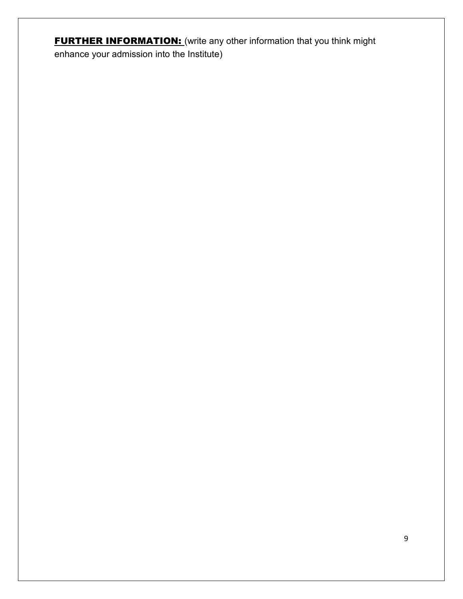**FURTHER INFORMATION:** (write any other information that you think might enhance your admission into the Institute)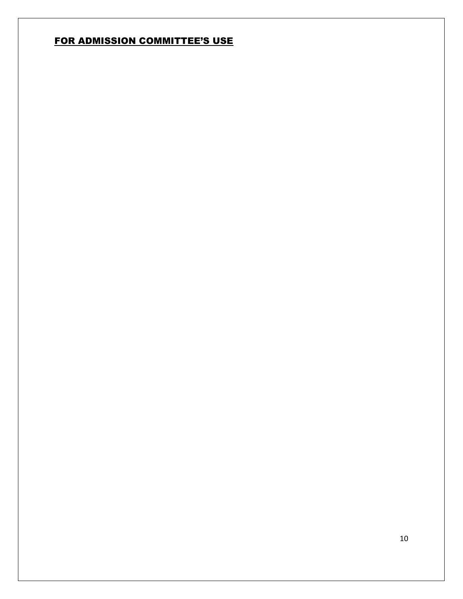# FOR ADMISSION COMMITTEE'S USE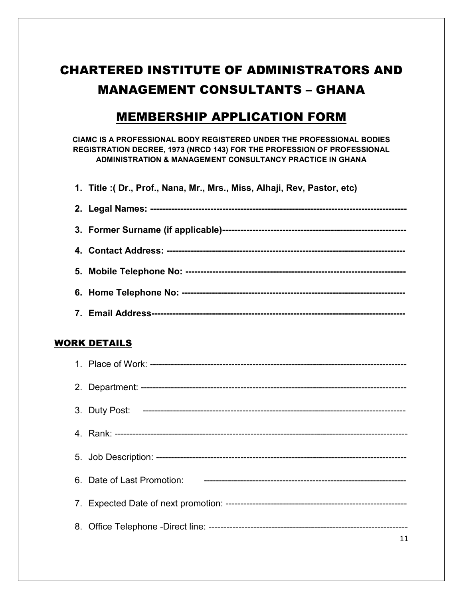# CHARTERED INSTITUTE OF ADMINISTRATORS AND MANAGEMENT CONSULTANTS – GHANA

# MEMBERSHIP APPLICATION FORM

**CIAMC IS A PROFESSIONAL BODY REGISTERED UNDER THE PROFESSIONAL BODIES REGISTRATION DECREE, 1973 (NRCD 143) FOR THE PROFESSION OF PROFESSIONAL ADMINISTRATION & MANAGEMENT CONSULTANCY PRACTICE IN GHANA** 

**1. Title :( Dr., Prof., Nana, Mr., Mrs., Miss, Alhaji, Rev, Pastor, etc)** 

### WORK DETAILS

| 11 |
|----|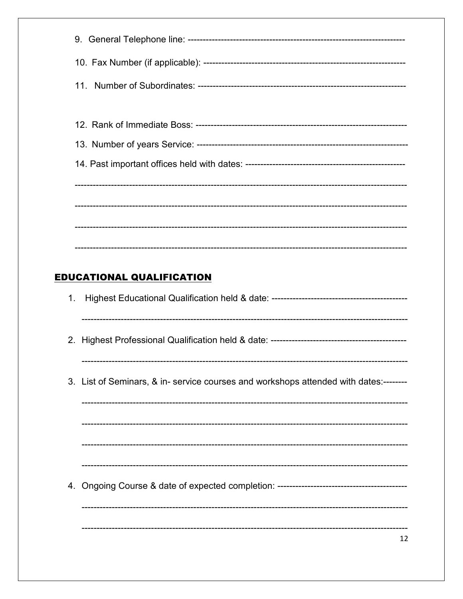|    | <b>EDUCATIONAL QUALIFICATION</b>                                                     |  |  |  |  |
|----|--------------------------------------------------------------------------------------|--|--|--|--|
| 1. |                                                                                      |  |  |  |  |
|    |                                                                                      |  |  |  |  |
|    | 3. List of Seminars, & in- service courses and workshops attended with dates:------- |  |  |  |  |
|    |                                                                                      |  |  |  |  |
|    |                                                                                      |  |  |  |  |
|    |                                                                                      |  |  |  |  |
|    |                                                                                      |  |  |  |  |
|    | 12                                                                                   |  |  |  |  |